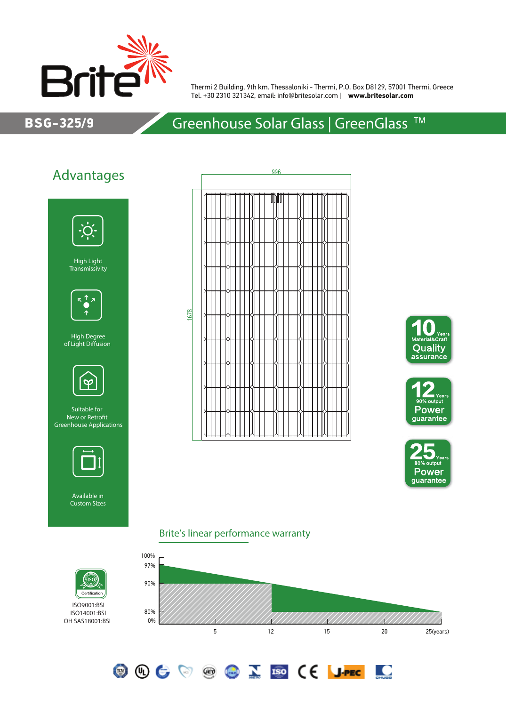

Thermi 2 Building, 9th km. Thessaloniki - Thermi, P.O. Box D8129, 57001 Thermi, Greece Tel. +30 2310 321342, email: info@britesolar.com | **www.britesolar.com**

## BSG-325/9

# Greenhouse Solar Glass | GreenGlass<sup>™</sup>

# Advantages



High Light Transmissivity



High Degree of Light Diffusion



Suitable for New or Retrofit Greenhouse Applications



Available in Custom Sizes









<u>io</u>

#### Brite's linear performance warranty

**OOCOOCOID CE JPEC** 





ISO14001:BSI OH SAS18001:BSI